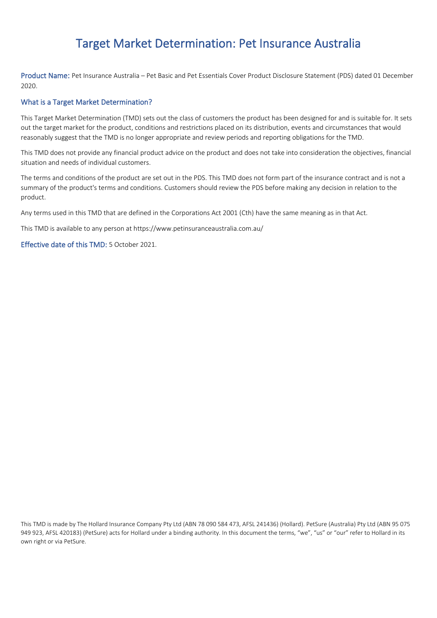# Target Market Determination: Pet Insurance Australia

Product Name: Pet Insurance Australia – Pet Basic and Pet Essentials Cover Product Disclosure Statement (PDS) dated 01 December 2020.

#### What is a Target Market Determination?

This Target Market Determination (TMD) sets out the class of customers the product has been designed for and is suitable for. It sets out the target market for the product, conditions and restrictions placed on its distribution, events and circumstances that would reasonably suggest that the TMD is no longer appropriate and review periods and reporting obligations for the TMD.

This TMD does not provide any financial product advice on the product and does not take into consideration the objectives, financial situation and needs of individual customers.

The terms and conditions of the product are set out in the PDS. This TMD does not form part of the insurance contract and is not a summary of the product's terms and conditions. Customers should review the PDS before making any decision in relation to the product.

Any terms used in this TMD that are defined in the Corporations Act 2001 (Cth) have the same meaning as in that Act.

This TMD is available to any person at https://www.petinsuranceaustralia.com.au/

Effective date of this TMD: 5 October 2021.

This TMD is made by The Hollard Insurance Company Pty Ltd (ABN 78 090 584 473, AFSL 241436) (Hollard). PetSure (Australia) Pty Ltd (ABN 95 075 949 923, AFSL 420183) (PetSure) acts for Hollard under a binding authority. In this document the terms, "we", "us" or "our" refer to Hollard in its own right or via PetSure.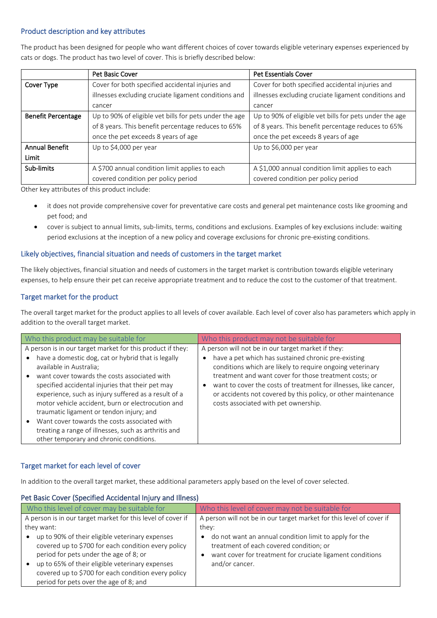#### Product description and key attributes

The product has been designed for people who want different choices of cover towards eligible veterinary expenses experienced by cats or dogs. The product has two level of cover. This is briefly described below:

|                           | Pet Basic Cover                                        | <b>Pet Essentials Cover</b>                            |
|---------------------------|--------------------------------------------------------|--------------------------------------------------------|
| Cover Type                | Cover for both specified accidental injuries and       | Cover for both specified accidental injuries and       |
|                           | illnesses excluding cruciate ligament conditions and   | illnesses excluding cruciate ligament conditions and   |
|                           | cancer                                                 | cancer                                                 |
| <b>Benefit Percentage</b> | Up to 90% of eligible vet bills for pets under the age | Up to 90% of eligible vet bills for pets under the age |
|                           | of 8 years. This benefit percentage reduces to 65%     | of 8 years. This benefit percentage reduces to 65%     |
|                           | once the pet exceeds 8 years of age                    | once the pet exceeds 8 years of age                    |
| <b>Annual Benefit</b>     | Up to \$4,000 per year                                 | Up to \$6,000 per year                                 |
| Limit                     |                                                        |                                                        |
| Sub-limits                | A \$700 annual condition limit applies to each         | A \$1,000 annual condition limit applies to each       |
|                           | covered condition per policy period                    | covered condition per policy period                    |

Other key attributes of this product include:

- it does not provide comprehensive cover for preventative care costs and general pet maintenance costs like grooming and pet food; and
- cover is subject to annual limits, sub-limits, terms, conditions and exclusions. Examples of key exclusions include: waiting period exclusions at the inception of a new policy and coverage exclusions for chronic pre-existing conditions.

#### Likely objectives, financial situation and needs of customers in the target market

The likely objectives, financial situation and needs of customers in the target market is contribution towards eligible veterinary expenses, to help ensure their pet can receive appropriate treatment and to reduce the cost to the customer of that treatment.

## Target market for the product

The overall target market for the product applies to all levels of cover available. Each level of cover also has parameters which apply in addition to the overall target market.

| Who this product may be suitable for                                                                                                                                                                                                                                                                                                                                                                                                                                                                                                                                     | Who this product may not be suitable for                                                                                                                                                                                                                                                                                                                                                                      |
|--------------------------------------------------------------------------------------------------------------------------------------------------------------------------------------------------------------------------------------------------------------------------------------------------------------------------------------------------------------------------------------------------------------------------------------------------------------------------------------------------------------------------------------------------------------------------|---------------------------------------------------------------------------------------------------------------------------------------------------------------------------------------------------------------------------------------------------------------------------------------------------------------------------------------------------------------------------------------------------------------|
| A person is in our target market for this product if they:<br>have a domestic dog, cat or hybrid that is legally<br>$\bullet$<br>available in Australia;<br>want cover towards the costs associated with<br>specified accidental injuries that their pet may<br>experience, such as injury suffered as a result of a<br>motor vehicle accident, burn or electrocution and<br>traumatic ligament or tendon injury; and<br>Want cover towards the costs associated with<br>treating a range of illnesses, such as arthritis and<br>other temporary and chronic conditions. | A person will not be in our target market if they:<br>have a pet which has sustained chronic pre-existing<br>conditions which are likely to require ongoing veterinary<br>treatment and want cover for those treatment costs; or<br>want to cover the costs of treatment for illnesses, like cancer,<br>or accidents not covered by this policy, or other maintenance<br>costs associated with pet ownership. |

## Target market for each level of cover

In addition to the overall target market, these additional parameters apply based on the level of cover selected.

#### Pet Basic Cover (Specified Accidental Injury and Illness)

| Who this level of cover may be suitable for                                                                                                                                                                                                                                                          | Who this level of cover may not be suitable for                                                                                                                                       |  |
|------------------------------------------------------------------------------------------------------------------------------------------------------------------------------------------------------------------------------------------------------------------------------------------------------|---------------------------------------------------------------------------------------------------------------------------------------------------------------------------------------|--|
| A person is in our target market for this level of cover if                                                                                                                                                                                                                                          | A person will not be in our target market for this level of cover if                                                                                                                  |  |
| they want:                                                                                                                                                                                                                                                                                           | they:                                                                                                                                                                                 |  |
| up to 90% of their eligible veterinary expenses<br>covered up to \$700 for each condition every policy<br>period for pets under the age of 8; or<br>up to 65% of their eligible veterinary expenses<br>covered up to \$700 for each condition every policy<br>period for pets over the age of 8; and | do not want an annual condition limit to apply for the<br>٠<br>treatment of each covered condition; or<br>want cover for treatment for cruciate ligament conditions<br>and/or cancer. |  |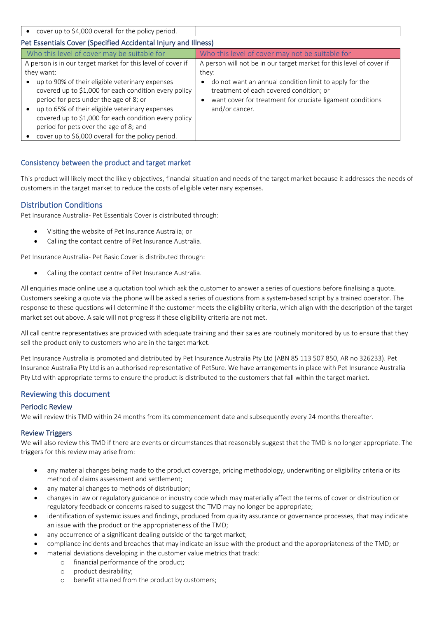| cover up to \$4,000 overall for the policy period.                                                                                                                                                                                                                                                                                                             |                                                                                                                                                                                               |  |  |  |
|----------------------------------------------------------------------------------------------------------------------------------------------------------------------------------------------------------------------------------------------------------------------------------------------------------------------------------------------------------------|-----------------------------------------------------------------------------------------------------------------------------------------------------------------------------------------------|--|--|--|
| Pet Essentials Cover (Specified Accidental Injury and Illness)                                                                                                                                                                                                                                                                                                 |                                                                                                                                                                                               |  |  |  |
| Who this level of cover may be suitable for                                                                                                                                                                                                                                                                                                                    | Who this level of cover may not be suitable for                                                                                                                                               |  |  |  |
| A person is in our target market for this level of cover if<br>they want:                                                                                                                                                                                                                                                                                      | A person will not be in our target market for this level of cover if<br>they:                                                                                                                 |  |  |  |
| up to 90% of their eligible veterinary expenses<br>covered up to \$1,000 for each condition every policy<br>period for pets under the age of 8; or<br>up to 65% of their eligible veterinary expenses<br>covered up to \$1,000 for each condition every policy<br>period for pets over the age of 8; and<br>cover up to \$6,000 overall for the policy period. | do not want an annual condition limit to apply for the<br>$\bullet$<br>treatment of each covered condition; or<br>want cover for treatment for cruciate ligament conditions<br>and/or cancer. |  |  |  |

## Consistency between the product and target market

This product will likely meet the likely objectives, financial situation and needs of the target market because it addresses the needs of customers in the target market to reduce the costs of eligible veterinary expenses.

#### Distribution Conditions

Pet Insurance Australia- Pet Essentials Cover is distributed through:

- Visiting the website of Pet Insurance Australia; or
- Calling the contact centre of Pet Insurance Australia.

Pet Insurance Australia- Pet Basic Cover is distributed through:

• Calling the contact centre of Pet Insurance Australia.

All enquiries made online use a quotation tool which ask the customer to answer a series of questions before finalising a quote. Customers seeking a quote via the phone will be asked a series of questions from a system-based script by a trained operator. The response to these questions will determine if the customer meets the eligibility criteria, which align with the description of the target market set out above. A sale will not progress if these eligibility criteria are not met.

All call centre representatives are provided with adequate training and their sales are routinely monitored by us to ensure that they sell the product only to customers who are in the target market.

Pet Insurance Australia is promoted and distributed by Pet Insurance Australia Pty Ltd (ABN 85 113 507 850, AR no 326233). Pet Insurance Australia Pty Ltd is an authorised representative of PetSure. We have arrangements in place with Pet Insurance Australia Pty Ltd with appropriate terms to ensure the product is distributed to the customers that fall within the target market.

## Reviewing this document

#### Periodic Review

We will review this TMD within 24 months from its commencement date and subsequently every 24 months thereafter.

#### Review Triggers

We will also review this TMD if there are events or circumstances that reasonably suggest that the TMD is no longer appropriate. The triggers for this review may arise from:

- any material changes being made to the product coverage, pricing methodology, underwriting or eligibility criteria or its method of claims assessment and settlement;
- any material changes to methods of distribution;
- changes in law or regulatory guidance or industry code which may materially affect the terms of cover or distribution or regulatory feedback or concerns raised to suggest the TMD may no longer be appropriate;
- identification of systemic issues and findings, produced from quality assurance or governance processes, that may indicate an issue with the product or the appropriateness of the TMD;
- any occurrence of a significant dealing outside of the target market;
- compliance incidents and breaches that may indicate an issue with the product and the appropriateness of the TMD; or
	- material deviations developing in the customer value metrics that track:
		- o financial performance of the product;
			- o product desirability;
			- o benefit attained from the product by customers;